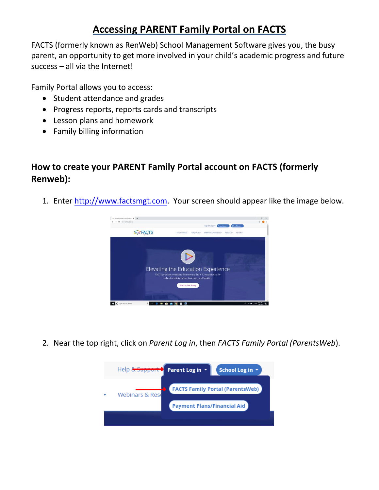FACTS (formerly known as RenWeb) School Management Software gives you, the busy parent, an opportunity to get more involved in your child's academic progress and future success – all via the Internet!

Family Portal allows you to access:

- Student attendance and grades
- Progress reports, reports cards and transcripts
- Lesson plans and homework
- Family billing information

### **How to create your PARENT Family Portal account on FACTS (formerly Renweb):**

1. Enter [http://www.factsmgt.com.](http://www.factsmgt.com/) Your screen should appear like the image below.



2. Near the top right, click on *Parent Log in*, then *FACTS Family Portal (ParentsWeb*).

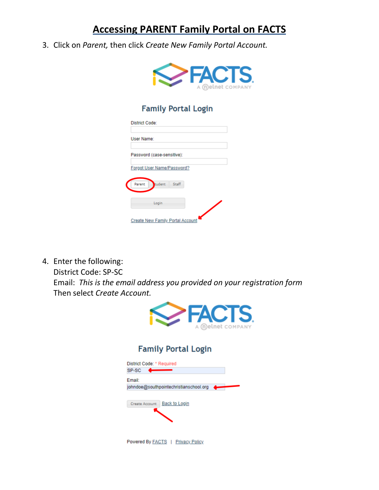3. Click on *Parent,* then click *Create New Family Portal Account.*



### **Family Portal Login**

| <b>District Code:</b>                   |  |
|-----------------------------------------|--|
| User Name:                              |  |
| Password (case-sensitive):              |  |
| Forgot User Name/Password?              |  |
| tudent<br>Staff<br>Parent               |  |
| Login                                   |  |
| <b>Create New Family Portal Account</b> |  |

4. Enter the following:

District Code: SP-SC

Email: *This is the email address you provided on your registration form* Then select *Create Account.*



### **Family Portal Login**

| District Code: * Required                   |
|---------------------------------------------|
| SP-SC                                       |
| Email:                                      |
| johndoe@southpointechristianschool.org<br>۔ |
| <b>Back to Login</b><br>Create Account      |
| <b>Powered By FACTS   Privacy Policy</b>    |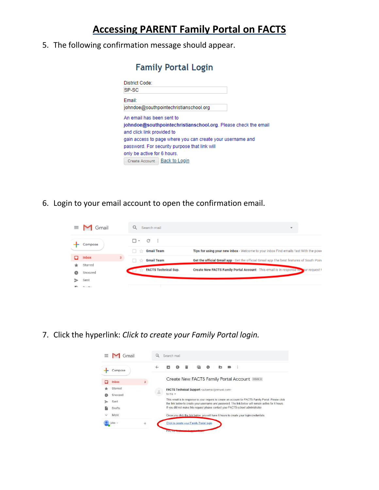5. The following confirmation message should appear.

| <b>Family Portal Login</b>                                     |  |
|----------------------------------------------------------------|--|
| District Code:                                                 |  |
| SP-SC                                                          |  |
| Email:                                                         |  |
| johndoe@southpointechristianschool.org                         |  |
| An email has been sent to                                      |  |
| johndoe@southpointechristianschool.org. Please check the email |  |
| and click link provided to                                     |  |
| gain access to page where you can create your username and     |  |
| password. For security purpose that link will                  |  |
| only be active for 6 hours.                                    |  |
| Create Account   Back to Login                                 |  |

6. Login to your email account to open the confirmation email.

| $\equiv$ | Gmail              | Search mail                      |                             | $\overline{\phantom{a}}$                                                                |
|----------|--------------------|----------------------------------|-----------------------------|-----------------------------------------------------------------------------------------|
|          | Compose            | □ - C<br><b>Gmail Team</b><br>日立 | - 3                         | Tips for using your new inbox - Welcome to your inbox Find emails fast With the pow-    |
|          | Inbox              | <b>Gmail Team</b><br>÷           |                             | Get the official Gmail app - Get the official Gmail app The best features of South Poin |
| Ø        | Starred<br>Snoozed |                                  | <b>FACTS Technical Sup.</b> | Create New FACTS Family Portal Account - This email is in response to your request !    |
|          | Sent<br>Dear Store |                                  |                             |                                                                                         |

7. Click the hyperlink: *Click to create your Family Portal login.*

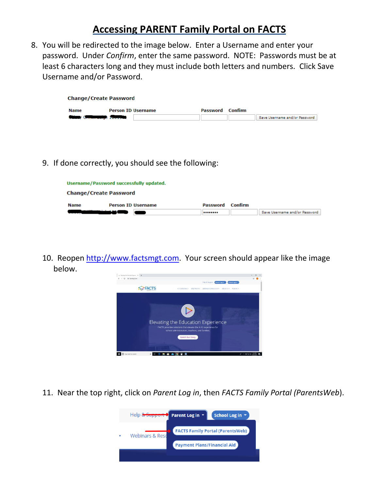8. You will be redirected to the image below. Enter a Username and enter your password. Under *Confirm*, enter the same password. NOTE: Passwords must be at least 6 characters long and they must include both letters and numbers. Click Save Username and/or Password.

| <b>Change/Create Password</b> |                           |          |         |                               |
|-------------------------------|---------------------------|----------|---------|-------------------------------|
| Name                          | <b>Person ID Username</b> | Password | Confirm |                               |
| China, Commercial Teoretta    |                           |          |         | Save Username and/or Password |

9. If done correctly, you should see the following:

| Username/Password successfully updated. |                           |   |          |         |                               |
|-----------------------------------------|---------------------------|---|----------|---------|-------------------------------|
| <b>Change/Create Password</b>           |                           |   |          |         |                               |
| <b>Name</b>                             | <b>Person ID Username</b> |   | Password | Confirm |                               |
|                                         |                           | - |          |         | Save Username and/or Password |

10. Reopen [http://www.factsmgt.com.](http://www.factsmgt.com/) Your screen should appear like the image below.



11. Near the top right, click on *Parent Log in*, then *FACTS Family Portal (ParentsWeb*).